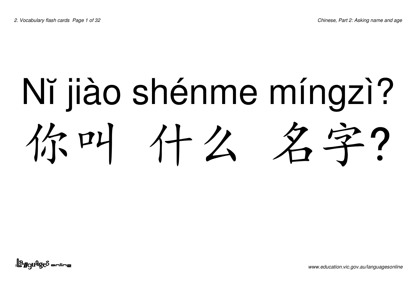## Nĭ jiào shénme míngzì? 你叫 什么 名字?

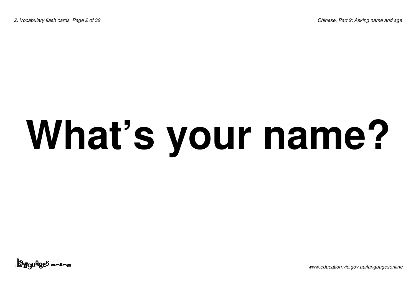## **What's your name?**

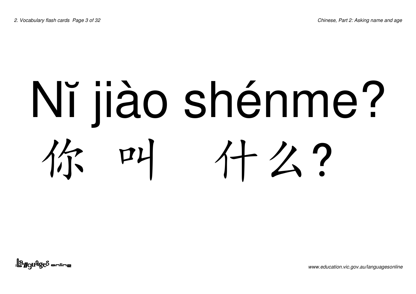#### Nĭ jiào shénme? 你叫 112?

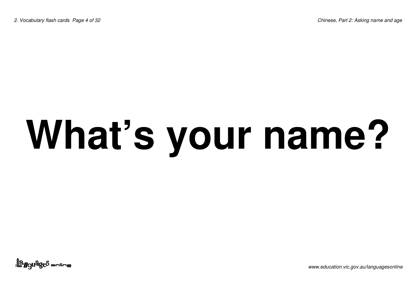## **What's your name?**

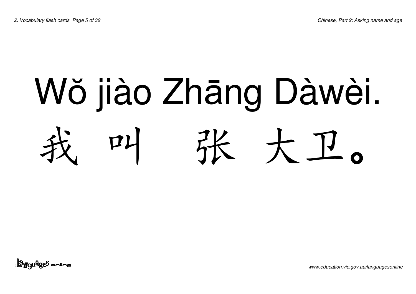#### Wŏ jiào Zhāng Dàwèi. 我叫张 大卫。

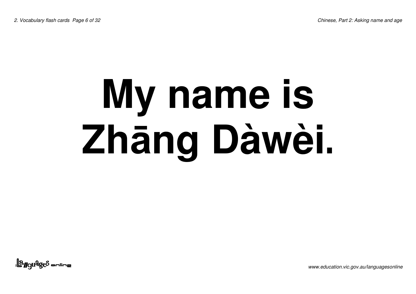### **My name is Zhng Dàwèi.**

<u>||a<sub>ggu</sub>que anline</u>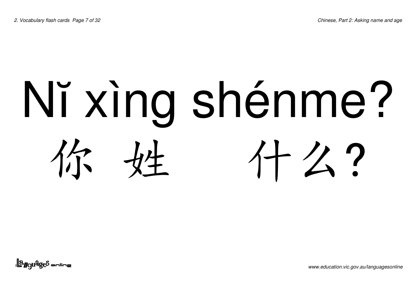# Nï xìng shénme? 你姓 什么?

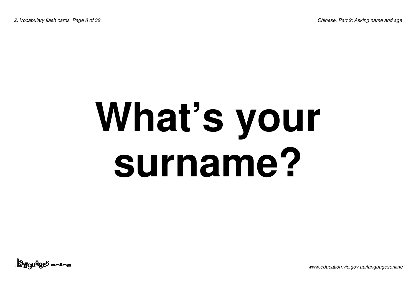### **What's your surname?**

<u>||a<sub>ngu</sub>qes anline</u>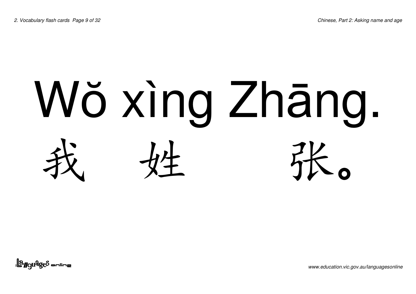#### Wŏ xìng Zhāng. 我姓张  $\mathbf O$

<u>| angudges anline</u>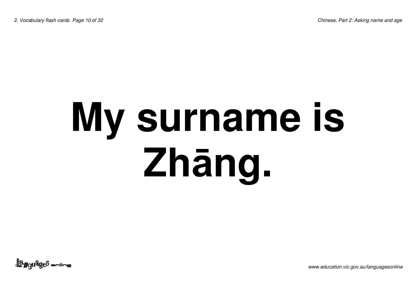### **My surname is Zhng.**

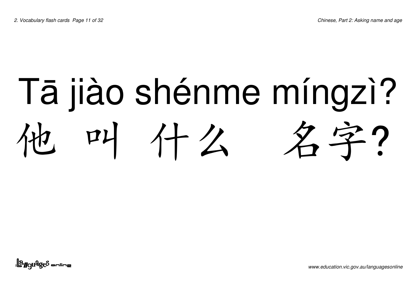#### Tā jiào shénme míngzì? P4 什么 名字?

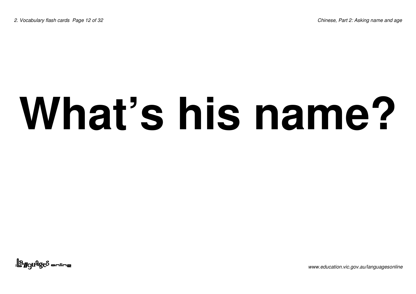### **What's his name?**

<u>||a<sub>rgu</sub>qe</u>s anline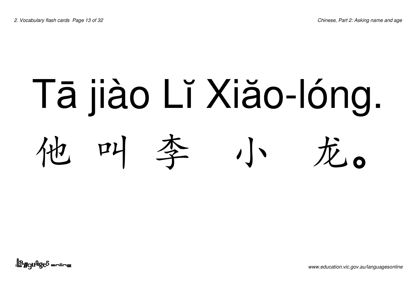#### Tā jiào Lǐ Xiăo-lóng. 대  $\sqrt{1 - \pi a}$

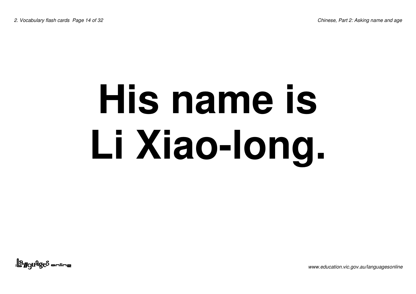### **His name is Li Xiao-long.**

<u>||a<sub>rgu</sub>qe</u>s anline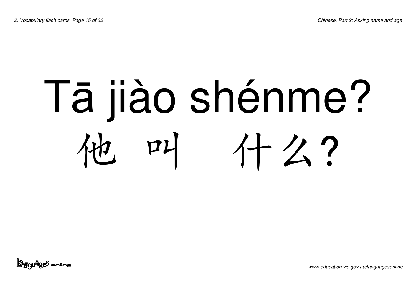#### Tā jiào shénme? 대 什么?

<u>||a<sub>ggu</sub>qe</u>s anline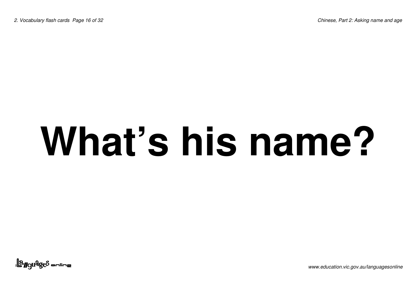### **What's his name?**

<u>||a<sub>ngu</sub>qes anline</u>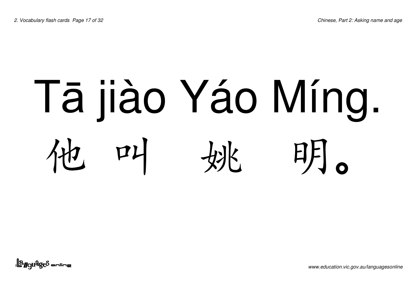#### Tā jiào Yáo Míng. 머니 明。

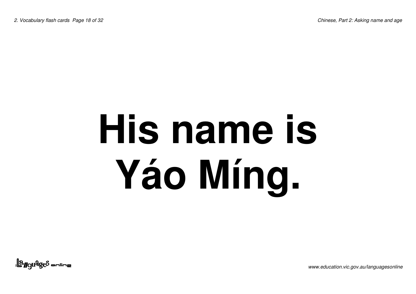*2. Vocabulary flash cards Page 18 of 32 Chinese, Part 2: Asking name and age*

### **His name is Yáo Míng.**

<u>||a<sub>rgu</sub>qe</u>s anline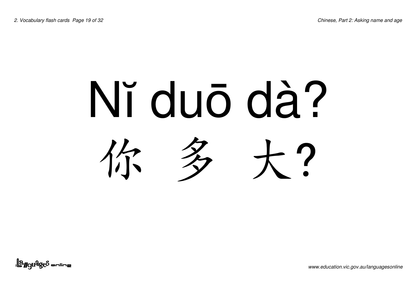#### Nĭ duō dà? 你多 大

<u>||a<sub>ngu</sub>qe</u>s sulius|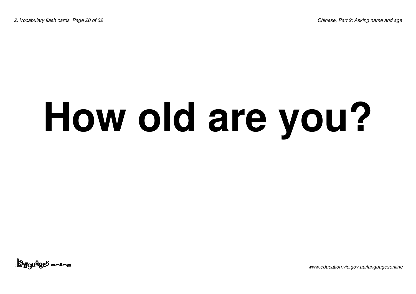### **How old are you?**

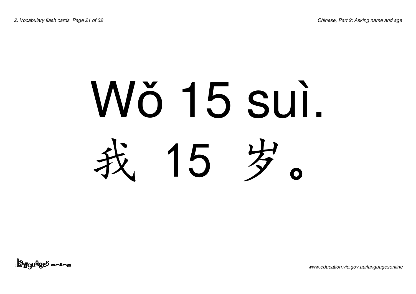# Wŏ 15 sui. 15岁

<u>||a<sub>ngu</sub>qe</u>s sulius|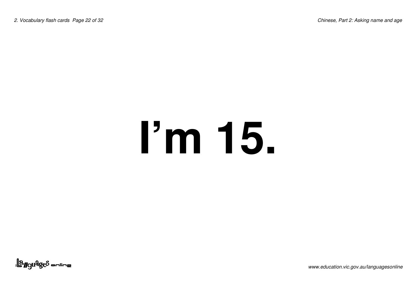### **I'm 15.**

<u>||a</u>nguages <del>online</del>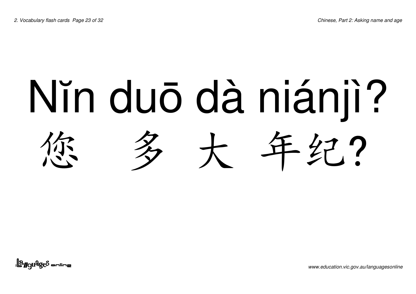## Nïn duō dà niánjì? 年纪?

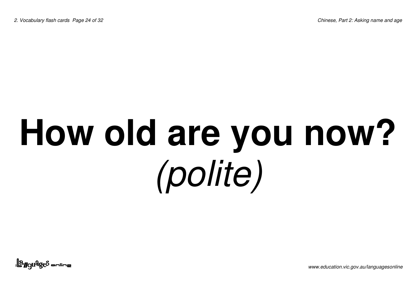### **How old are you now?** *(polite)*

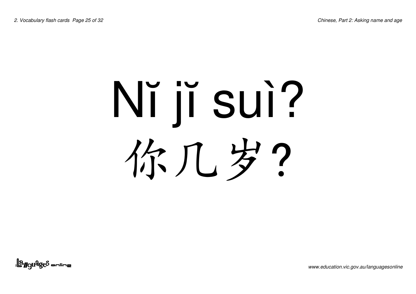# Nĭ jĭ suì? 你几岁?

<u>||a gudges anline</u>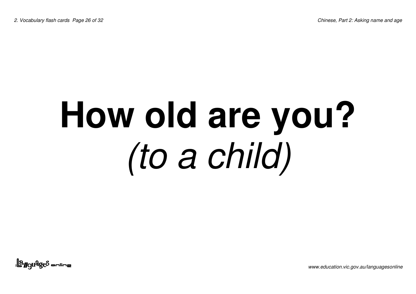### **How old are you?** *(to <sup>a</sup> child)*

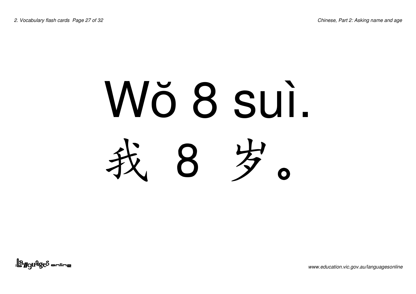#### Wŏ 8 sui.  $\mathcal{B}$ 歹  $\Omega$

<u>||a<sub>r</sub>guages anline</u>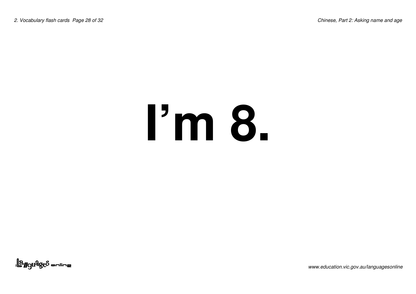## **I'm 8.**

<u>||a gudges anline</u>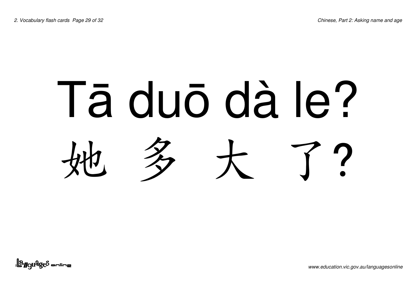# Tā duō dà le? 大

<u>| angudges anline</u>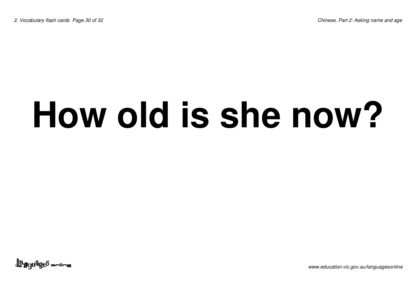#### **How old is she now?**

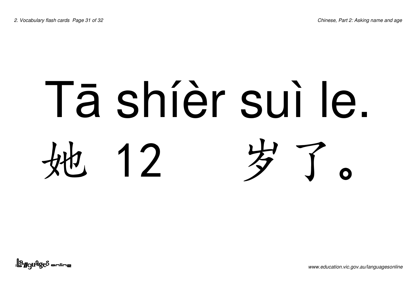# Tā shíèr sui le.  $12$